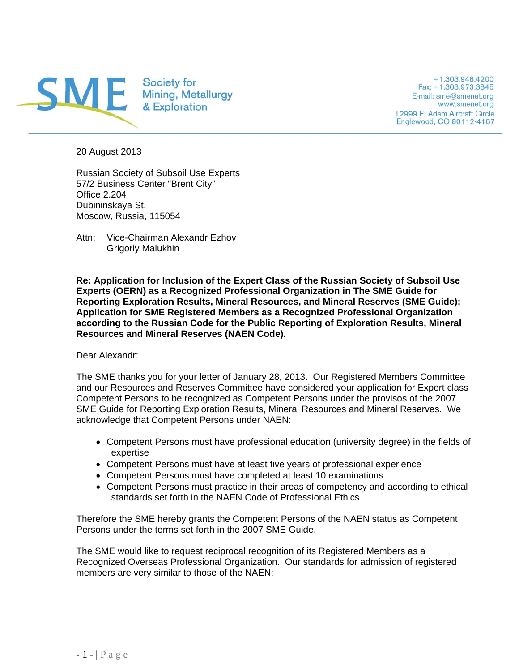

+1.303.948.4200 Fax: +1.303.973.3845 E-mail: sme@smenet.org www.smenet.org 12999 E. Adam Aircraft Circle Englewood, CO 80112-4167

20 August 2013

Russian Society of Subsoil Use Experts 57/2 Business Center "Brent City" Office 2.204 Dubininskaya St. Moscow, Russia, 115054

Attn: Vice-Chairman Alexandr Ezhov Grigoriy Malukhin

**Re: Application for Inclusion of the Expert Class of the Russian Society of Subsoil Use Experts (OERN) as a Recognized Professional Organization in The SME Guide for Reporting Exploration Results, Mineral Resources, and Mineral Reserves (SME Guide); Application for SME Registered Members as a Recognized Professional Organization according to the Russian Code for the Public Reporting of Exploration Results, Mineral Resources and Mineral Reserves (NAEN Code).** 

Dear Alexandr:

The SME thanks you for your letter of January 28, 2013. Our Registered Members Committee and our Resources and Reserves Committee have considered your application for Expert class Competent Persons to be recognized as Competent Persons under the provisos of the 2007 SME Guide for Reporting Exploration Results, Mineral Resources and Mineral Reserves. We acknowledge that Competent Persons under NAEN:

- Competent Persons must have professional education (university degree) in the fields of expertise
- Competent Persons must have at least five years of professional experience
- Competent Persons must have completed at least 10 examinations
- Competent Persons must practice in their areas of competency and according to ethical standards set forth in the NAEN Code of Professional Ethics

Therefore the SME hereby grants the Competent Persons of the NAEN status as Competent Persons under the terms set forth in the 2007 SME Guide.

The SME would like to request reciprocal recognition of its Registered Members as a Recognized Overseas Professional Organization. Our standards for admission of registered members are very similar to those of the NAEN: